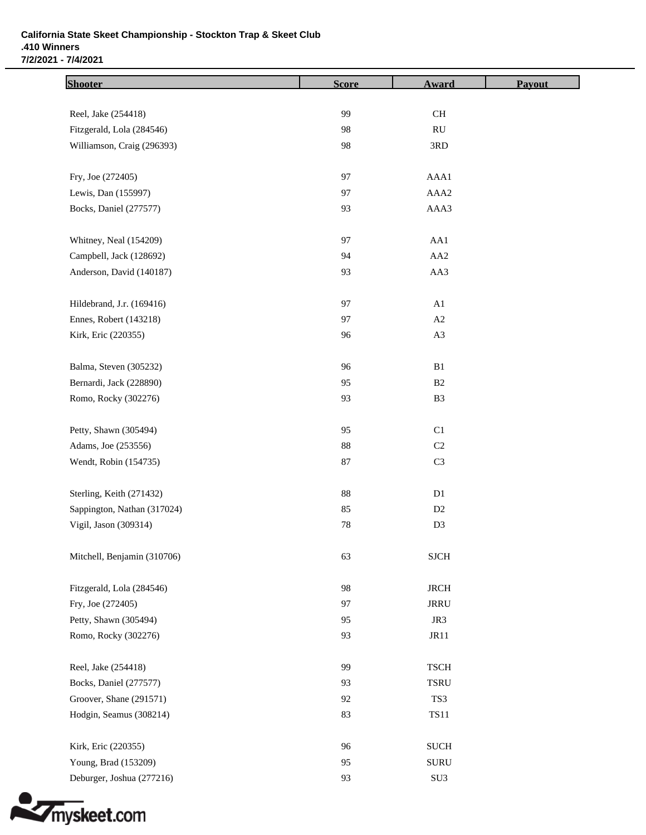## **California State Skeet Championship - Stockton Trap & Skeet Club .410 Winners 7/2/2021 - 7/4/2021**

| <b>Shooter</b>              | <b>Score</b> | <b>Award</b>           | Payout |
|-----------------------------|--------------|------------------------|--------|
| Reel, Jake (254418)         | 99           | $\operatorname{CH}$    |        |
| Fitzgerald, Lola (284546)   | 98           | $\mathbf{R}\mathbf{U}$ |        |
| Williamson, Craig (296393)  | 98           | 3RD                    |        |
| Fry, Joe (272405)           | 97           | AAA1                   |        |
| Lewis, Dan (155997)         | 97           | AAA2                   |        |
| Bocks, Daniel (277577)      | 93           | AAA3                   |        |
| Whitney, Neal (154209)      | 97           | AA1                    |        |
| Campbell, Jack (128692)     | 94           | AA <sub>2</sub>        |        |
| Anderson, David (140187)    | 93           | AA3                    |        |
| Hildebrand, J.r. (169416)   | 97           | A1                     |        |
| Ennes, Robert (143218)      | 97           | A2                     |        |
| Kirk, Eric (220355)         | 96           | A3                     |        |
| Balma, Steven (305232)      | 96           | B1                     |        |
| Bernardi, Jack (228890)     | 95           | B <sub>2</sub>         |        |
| Romo, Rocky (302276)        | 93           | B <sub>3</sub>         |        |
| Petty, Shawn (305494)       | 95           | C1                     |        |
| Adams, Joe (253556)         | 88           | $\rm C2$               |        |
| Wendt, Robin (154735)       | 87           | C <sub>3</sub>         |        |
| Sterling, Keith (271432)    | 88           | D1                     |        |
| Sappington, Nathan (317024) | 85           | D2                     |        |
| Vigil, Jason (309314)       | $78\,$       | D <sub>3</sub>         |        |
| Mitchell, Benjamin (310706) | 63           | <b>SJCH</b>            |        |
| Fitzgerald, Lola (284546)   | 98           | <b>JRCH</b>            |        |
| Fry, Joe (272405)           | 97           | <b>JRRU</b>            |        |
| Petty, Shawn (305494)       | 95           | JR3                    |        |
| Romo, Rocky (302276)        | 93           | JR11                   |        |
| Reel, Jake (254418)         | 99           | <b>TSCH</b>            |        |
| Bocks, Daniel (277577)      | 93           | <b>TSRU</b>            |        |
| Groover, Shane (291571)     | 92           | TS3                    |        |
| Hodgin, Seamus (308214)     | 83           | <b>TS11</b>            |        |
| Kirk, Eric (220355)         | 96           | <b>SUCH</b>            |        |
| Young, Brad (153209)        | 95           | <b>SURU</b>            |        |
| Deburger, Joshua (277216)   | 93           | SU <sub>3</sub>        |        |